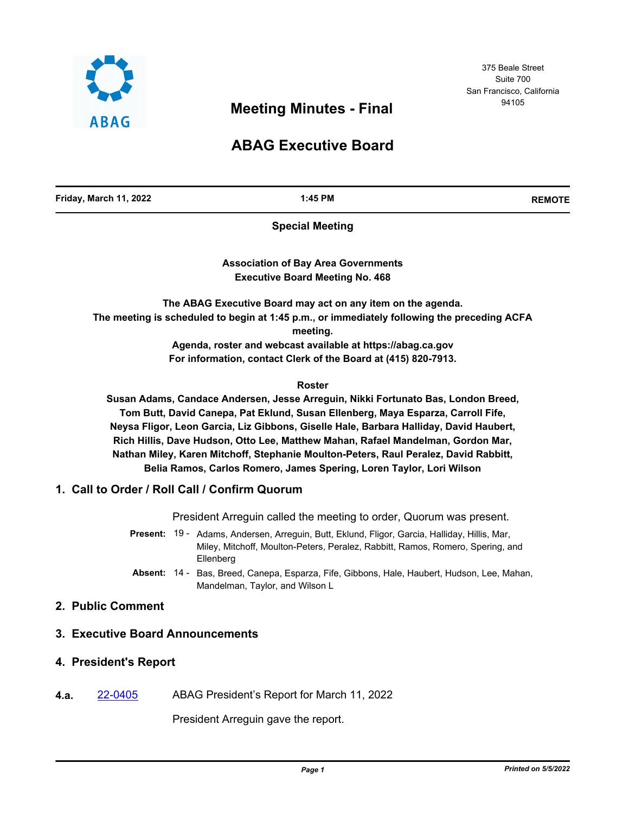

375 Beale Street Suite 700 San Francisco, California

# <sup>94105</sup> **Meeting Minutes - Final**

# **ABAG Executive Board**

**Friday, March 11, 2022 1:45 PM REMOTE**

**Special Meeting**

**Association of Bay Area Governments Executive Board Meeting No. 468**

**The ABAG Executive Board may act on any item on the agenda. The meeting is scheduled to begin at 1:45 p.m., or immediately following the preceding ACFA meeting.**

> **Agenda, roster and webcast available at https://abag.ca.gov For information, contact Clerk of the Board at (415) 820-7913.**

> > **Roster**

**Susan Adams, Candace Andersen, Jesse Arreguin, Nikki Fortunato Bas, London Breed, Tom Butt, David Canepa, Pat Eklund, Susan Ellenberg, Maya Esparza, Carroll Fife, Neysa Fligor, Leon Garcia, Liz Gibbons, Giselle Hale, Barbara Halliday, David Haubert, Rich Hillis, Dave Hudson, Otto Lee, Matthew Mahan, Rafael Mandelman, Gordon Mar, Nathan Miley, Karen Mitchoff, Stephanie Moulton-Peters, Raul Peralez, David Rabbitt, Belia Ramos, Carlos Romero, James Spering, Loren Taylor, Lori Wilson**

## **1. Call to Order / Roll Call / Confirm Quorum**

President Arreguin called the meeting to order, Quorum was present.

- Present: 19 Adams, Andersen, Arreguin, Butt, Eklund, Fligor, Garcia, Halliday, Hillis, Mar, Miley, Mitchoff, Moulton-Peters, Peralez, Rabbitt, Ramos, Romero, Spering, and **Ellenberg**
- Absent: 14 Bas, Breed, Canepa, Esparza, Fife, Gibbons, Hale, Haubert, Hudson, Lee, Mahan, Mandelman, Taylor, and Wilson L

## **2. Public Comment**

- **3. Executive Board Announcements**
- **4. President's Report**
- **4.a.** [22-0405](http://mtc.legistar.com/gateway.aspx?m=l&id=/matter.aspx?key=23664) ABAG President's Report for March 11, 2022

President Arreguin gave the report.